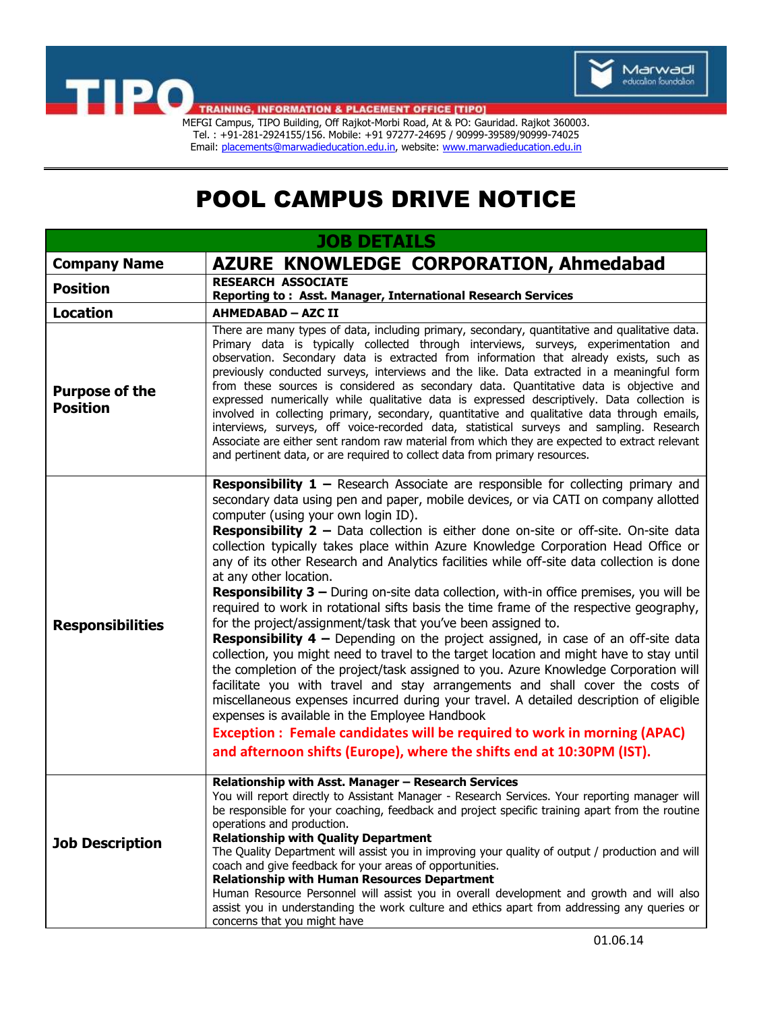



**TRAINING, INFORMATION & PLACEMENT OFFICE [TIPO]** 

Tel. : +91-281-2924155/156. Mobile: +91 97277-24695 / 90999-39589/90999-74025 Email[: placements@marwadieducation.edu.in,](mailto:placements@marwadieducation.edu.in) website[: www.marwadieducation.edu.in](http://www.marwadieducation.edu.in/)

## POOL CAMPUS DRIVE NOTICE

| <b>JOB DETAILS</b>                       |                                                                                                                                                                                                                                                                                                                                                                                                                                                                                                                                                                                                                                                                                                                                                                                                                                                                                                                                                                                                                                                                                                                                                                                                                                                                                                                                                                                                                                                                 |
|------------------------------------------|-----------------------------------------------------------------------------------------------------------------------------------------------------------------------------------------------------------------------------------------------------------------------------------------------------------------------------------------------------------------------------------------------------------------------------------------------------------------------------------------------------------------------------------------------------------------------------------------------------------------------------------------------------------------------------------------------------------------------------------------------------------------------------------------------------------------------------------------------------------------------------------------------------------------------------------------------------------------------------------------------------------------------------------------------------------------------------------------------------------------------------------------------------------------------------------------------------------------------------------------------------------------------------------------------------------------------------------------------------------------------------------------------------------------------------------------------------------------|
| <b>Company Name</b>                      | <b>AZURE KNOWLEDGE CORPORATION, Ahmedabad</b>                                                                                                                                                                                                                                                                                                                                                                                                                                                                                                                                                                                                                                                                                                                                                                                                                                                                                                                                                                                                                                                                                                                                                                                                                                                                                                                                                                                                                   |
| <b>Position</b>                          | <b>RESEARCH ASSOCIATE</b><br>Reporting to: Asst. Manager, International Research Services                                                                                                                                                                                                                                                                                                                                                                                                                                                                                                                                                                                                                                                                                                                                                                                                                                                                                                                                                                                                                                                                                                                                                                                                                                                                                                                                                                       |
| <b>Location</b>                          | <b>AHMEDABAD - AZC II</b>                                                                                                                                                                                                                                                                                                                                                                                                                                                                                                                                                                                                                                                                                                                                                                                                                                                                                                                                                                                                                                                                                                                                                                                                                                                                                                                                                                                                                                       |
| <b>Purpose of the</b><br><b>Position</b> | There are many types of data, including primary, secondary, quantitative and qualitative data.<br>Primary data is typically collected through interviews, surveys, experimentation and<br>observation. Secondary data is extracted from information that already exists, such as<br>previously conducted surveys, interviews and the like. Data extracted in a meaningful form<br>from these sources is considered as secondary data. Quantitative data is objective and<br>expressed numerically while qualitative data is expressed descriptively. Data collection is<br>involved in collecting primary, secondary, quantitative and qualitative data through emails,<br>interviews, surveys, off voice-recorded data, statistical surveys and sampling. Research<br>Associate are either sent random raw material from which they are expected to extract relevant<br>and pertinent data, or are required to collect data from primary resources.                                                                                                                                                                                                                                                                                                                                                                                                                                                                                                            |
| <b>Responsibilities</b>                  | <b>Responsibility 1</b> – Research Associate are responsible for collecting primary and<br>secondary data using pen and paper, mobile devices, or via CATI on company allotted<br>computer (using your own login ID).<br><b>Responsibility 2</b> - Data collection is either done on-site or off-site. On-site data<br>collection typically takes place within Azure Knowledge Corporation Head Office or<br>any of its other Research and Analytics facilities while off-site data collection is done<br>at any other location.<br><b>Responsibility 3 - During on-site data collection, with-in office premises, you will be</b><br>required to work in rotational sifts basis the time frame of the respective geography,<br>for the project/assignment/task that you've been assigned to.<br><b>Responsibility 4</b> – Depending on the project assigned, in case of an off-site data<br>collection, you might need to travel to the target location and might have to stay until<br>the completion of the project/task assigned to you. Azure Knowledge Corporation will<br>facilitate you with travel and stay arrangements and shall cover the costs of<br>miscellaneous expenses incurred during your travel. A detailed description of eligible<br>expenses is available in the Employee Handbook<br>Exception : Female candidates will be required to work in morning (APAC)<br>and afternoon shifts (Europe), where the shifts end at 10:30PM (IST). |
| <b>Job Description</b>                   | Relationship with Asst. Manager - Research Services<br>You will report directly to Assistant Manager - Research Services. Your reporting manager will<br>be responsible for your coaching, feedback and project specific training apart from the routine<br>operations and production.<br><b>Relationship with Quality Department</b><br>The Quality Department will assist you in improving your quality of output / production and will<br>coach and give feedback for your areas of opportunities.<br><b>Relationship with Human Resources Department</b><br>Human Resource Personnel will assist you in overall development and growth and will also<br>assist you in understanding the work culture and ethics apart from addressing any queries or<br>concerns that you might have                                                                                                                                                                                                                                                                                                                                                                                                                                                                                                                                                                                                                                                                        |